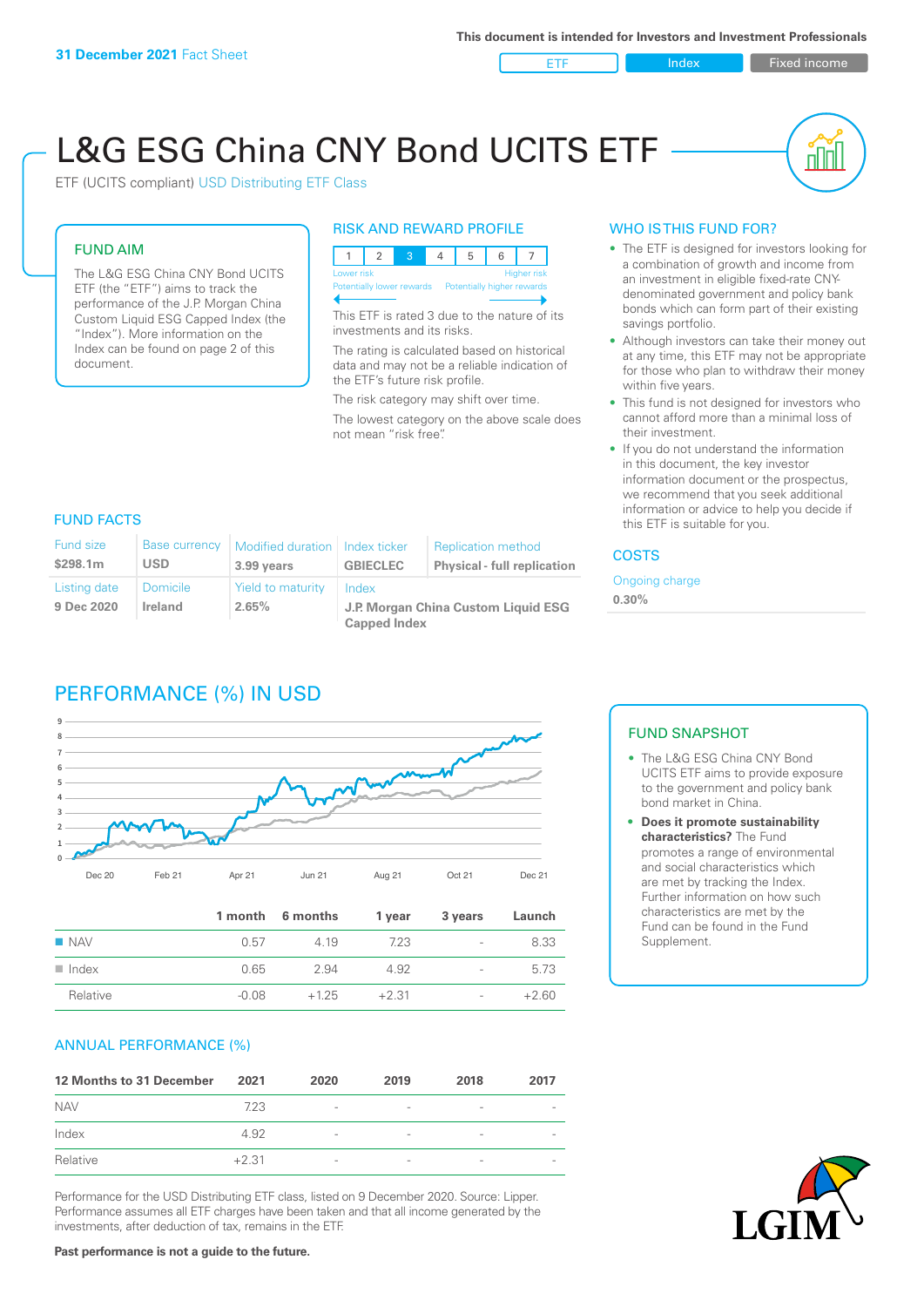ETF Index Fixed income

nn

# L&G ESG China CNY Bond UCITS ETF

ETF (UCITS compliant) USD Distributing ETF Class

### FUND AIM

The L&G ESG China CNY Bond UCITS ETF (the "ETF") aims to track the performance of the J.P. Morgan China Custom Liquid ESG Capped Index (the "Index"). More information on the Index can be found on page 2 of this document.

#### RISK AND REWARD PROFILE



This ETF is rated 3 due to the nature of its investments and its risks.

The rating is calculated based on historical data and may not be a reliable indication of the ETF's future risk profile.

The risk category may shift over time. The lowest category on the above scale does not mean "risk free".

#### WHO IS THIS FUND FOR?

- The ETF is designed for investors looking for a combination of growth and income from an investment in eligible fixed-rate CNYdenominated government and policy bank bonds which can form part of their existing savings portfolio.
- Although investors can take their money out at any time, this ETF may not be appropriate for those who plan to withdraw their money within five years.
- This fund is not designed for investors who cannot afford more than a minimal loss of their investment.
- If you do not understand the information in this document, the key investor information document or the prospectus, we recommend that you seek additional information or advice to help you decide if this ETF is suitable for you.

#### FUND FACTS

| <b>Fund size</b>           | <b>Base currency</b>       | Modified duration   Index ticker | <b>GBIECLEC</b>                                                     | <b>Replication method</b>          |  |
|----------------------------|----------------------------|----------------------------------|---------------------------------------------------------------------|------------------------------------|--|
| \$298.1m                   | USD                        | 3.99 years                       |                                                                     | <b>Physical - full replication</b> |  |
| Listing date<br>9 Dec 2020 | <b>Domicile</b><br>Ireland | Yield to maturity<br>2.65%       | Index<br>J.P. Morgan China Custom Liquid ESG<br><b>Capped Index</b> |                                    |  |

# PERFORMANCE (%) IN USD



|                      |         | 1 month 6 months | 1 year  | 3 years                  | Launch  |
|----------------------|---------|------------------|---------|--------------------------|---------|
| $\blacksquare$ NAV   | 0.57    | 4 1 9            | 723     | $\overline{\phantom{a}}$ | 8.33    |
| $\blacksquare$ Index | 0.65    | 2.94             | 4.92    | $\overline{\phantom{a}}$ | 5.73    |
| Relative             | $-0.08$ | $+125$           | $+2.31$ | -                        | $+2.60$ |

#### ANNUAL PERFORMANCE (%)

| 12 Months to 31 December | 2021    | 2020                     | 2019                     | 2018            | 2017 |
|--------------------------|---------|--------------------------|--------------------------|-----------------|------|
| <b>NAV</b>               | 7.23    | $\overline{\phantom{a}}$ | $\overline{\phantom{a}}$ | $\qquad \qquad$ |      |
| Index                    | 4.92    | $\overline{\phantom{a}}$ | $\qquad \qquad$          | $\qquad \qquad$ |      |
| Relative                 | $+2.31$ | $\overline{\phantom{a}}$ | $\overline{\phantom{0}}$ |                 |      |

Performance for the USD Distributing ETF class, listed on 9 December 2020. Source: Lipper. Performance assumes all ETF charges have been taken and that all income generated by the investments, after deduction of tax, remains in the ETF.

**COSTS** 

**0.30%**

Ongoing charge

#### FUND SNAPSHOT

- The L&G ESG China CNY Bond UCITS ETF aims to provide exposure to the government and policy bank bond market in China.
- **• Does it promote sustainability characteristics?** The Fund promotes a range of environmental and social characteristics which are met by tracking the Index. Further information on how such characteristics are met by the Fund can be found in the Fund Supplement.



**Past performance is not a guide to the future.**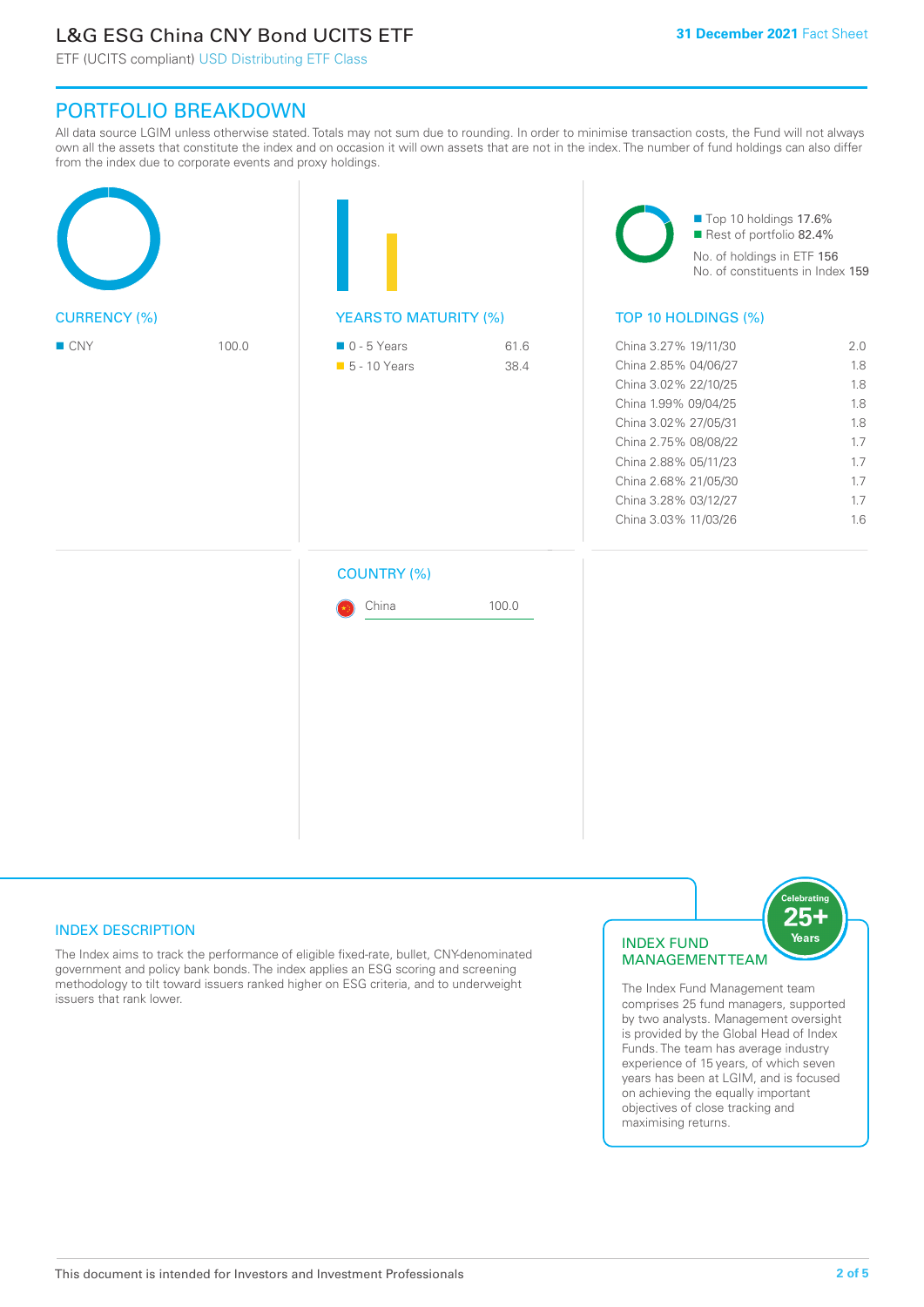# L&G ESG China CNY Bond UCITS ETF

ETF (UCITS compliant) USD Distributing ETF Class

## PORTFOLIO BREAKDOWN

All data source LGIM unless otherwise stated. Totals may not sum due to rounding. In order to minimise transaction costs, the Fund will not always own all the assets that constitute the index and on occasion it will own assets that are not in the index. The number of fund holdings can also differ from the index due to corporate events and proxy holdings.

|                     |       |                                              |              | Top 10 holdings 17.6%<br>Rest of portfolio 82.4%<br>No. of holdings in ETF 156<br>No. of constituents in Index 159                                                                                                                           |                                                                    |  |
|---------------------|-------|----------------------------------------------|--------------|----------------------------------------------------------------------------------------------------------------------------------------------------------------------------------------------------------------------------------------------|--------------------------------------------------------------------|--|
| <b>CURRENCY (%)</b> |       | <b>YEARSTO MATURITY (%)</b>                  |              | TOP 10 HOLDINGS (%)                                                                                                                                                                                                                          |                                                                    |  |
| ■ CNY               | 100.0 | $\blacksquare$ 0 - 5 Years<br>• 5 - 10 Years | 61.6<br>38.4 | China 3.27% 19/11/30<br>China 2.85% 04/06/27<br>China 3.02% 22/10/25<br>China 1.99% 09/04/25<br>China 3.02% 27/05/31<br>China 2.75% 08/08/22<br>China 2.88% 05/11/23<br>China 2.68% 21/05/30<br>China 3.28% 03/12/27<br>China 3.03% 11/03/26 | 2.0<br>1.8<br>1.8<br>1.8<br>1.8<br>1.7<br>1.7<br>1.7<br>1.7<br>1.6 |  |
|                     |       | <b>COUNTRY (%)</b>                           |              |                                                                                                                                                                                                                                              |                                                                    |  |
|                     |       | China                                        | 100.0        |                                                                                                                                                                                                                                              |                                                                    |  |
|                     |       |                                              |              |                                                                                                                                                                                                                                              |                                                                    |  |

#### INDEX DESCRIPTION

The Index aims to track the performance of eligible fixed-rate, bullet, CNY-denominated government and policy bank bonds. The index applies an ESG scoring and screening methodology to tilt toward issuers ranked higher on ESG criteria, and to underweight issuers that rank lower.

#### INDEX FUND MANAGEMENT TEAM



The Index Fund Management team comprises 25 fund managers, supported by two analysts. Management oversight is provided by the Global Head of Index Funds. The team has average industry experience of 15 years, of which seven years has been at LGIM, and is focused on achieving the equally important objectives of close tracking and maximising returns.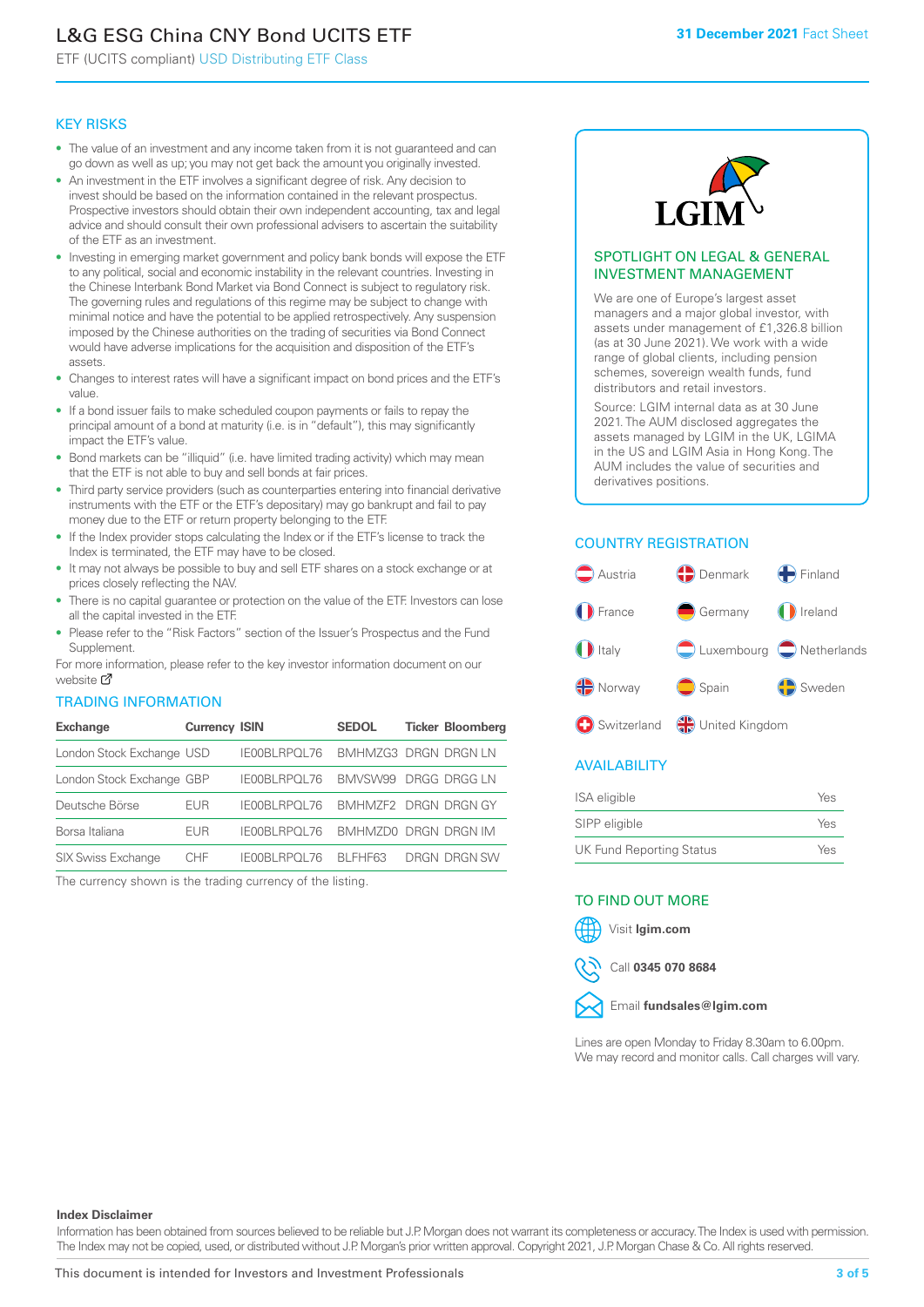# L&G ESG China CNY Bond UCITS ETF

ETF (UCITS compliant) USD Distributing ETF Class

#### KEY RISKS

- The value of an investment and any income taken from it is not guaranteed and can go down as well as up; you may not get back the amount you originally invested.
- An investment in the ETF involves a significant degree of risk. Any decision to invest should be based on the information contained in the relevant prospectus. Prospective investors should obtain their own independent accounting, tax and legal advice and should consult their own professional advisers to ascertain the suitability of the ETF as an investment.
- Investing in emerging market government and policy bank bonds will expose the ETF to any political, social and economic instability in the relevant countries. Investing in the Chinese Interbank Bond Market via Bond Connect is subject to regulatory risk. The governing rules and regulations of this regime may be subject to change with minimal notice and have the potential to be applied retrospectively. Any suspension imposed by the Chinese authorities on the trading of securities via Bond Connect would have adverse implications for the acquisition and disposition of the ETF's assets.
- Changes to interest rates will have a significant impact on bond prices and the ETF's value.
- If a bond issuer fails to make scheduled coupon payments or fails to repay the principal amount of a bond at maturity (i.e. is in "default"), this may significantly impact the ETF's value.
- Bond markets can be "illiquid" (i.e. have limited trading activity) which may mean that the ETF is not able to buy and sell bonds at fair prices.
- Third party service providers (such as counterparties entering into financial derivative instruments with the ETF or the ETF's depositary) may go bankrupt and fail to pay money due to the ETF or return property belonging to the ETF.
- If the Index provider stops calculating the Index or if the ETF's license to track the Index is terminated, the ETF may have to be closed.
- It may not always be possible to buy and sell ETF shares on a stock exchange or at prices closely reflecting the NAV.
- There is no capital guarantee or protection on the value of the ETF. Investors can lose all the capital invested in the ETF.
- Please refer to the "Risk Factors" section of the Issuer's Prospectus and the Fund Supplement.

For mo[re inf](https://www.lgimetf.com/)ormation, please refer to the key investor information document on our website M

#### TRADING INFORMATION

| <b>Exchange</b>           | <b>Currency ISIN</b> |                                   | <b>SEDOL</b>         | <b>Ticker Bloomberg</b> |
|---------------------------|----------------------|-----------------------------------|----------------------|-------------------------|
| London Stock Exchange USD |                      | IE00BLRPOL76                      | BMHMZG3 DRGN DRGN LN |                         |
| London Stock Exchange GBP |                      | IE00BLRPOL76                      | BMVSW99 DRGG DRGG LN |                         |
| Deutsche Börse            | EUR                  | IE00BLRPOL76 BMHMZF2 DRGN DRGN GY |                      |                         |
| Borsa Italiana            | EUR                  | <b>IFOOBL RPOL 76</b>             | BMHMZD0 DRGN DRGN IM |                         |
| <b>SIX Swiss Exchange</b> | CHF.                 | IE00BLRPOL76                      | BI FHF63             | DRGN DRGN SW            |

The currency shown is the trading currency of the listing.



#### SPOTLIGHT ON LEGAL & GENERAL INVESTMENT MANAGEMENT

We are one of Europe's largest asset managers and a major global investor, with assets under management of £1,326.8 billion (as at 30 June 2021). We work with a wide range of global clients, including pension schemes, sovereign wealth funds, fund distributors and retail investors.

Source: LGIM internal data as at 30 June 2021. The AUM disclosed aggregates the assets managed by LGIM in the UK, LGIMA in the US and LGIM Asia in Hong Kong. The AUM includes the value of securities and derivatives positions.

#### COUNTRY REGISTRATION



#### AVAILABILITY

| <b>ISA</b> eligible             | Yes |
|---------------------------------|-----|
| SIPP eligible                   | Yes |
| <b>UK Fund Reporting Status</b> | Yes |

#### TO FIND OUT MORE





Call **0345 070 8684**



Lines are open Monday to Friday 8.30am to 6.00pm. We may record and monitor calls. Call charges will vary.

#### **Index Disclaimer**

Information has been obtained from sources believed to be reliable but J.P. Morgan does not warrant its completeness or accuracy. The Index is used with permission. The Index may not be copied, used, or distributed without J.P. Morgan's prior written approval. Copyright 2021, J.P. Morgan Chase & Co. All rights reserved.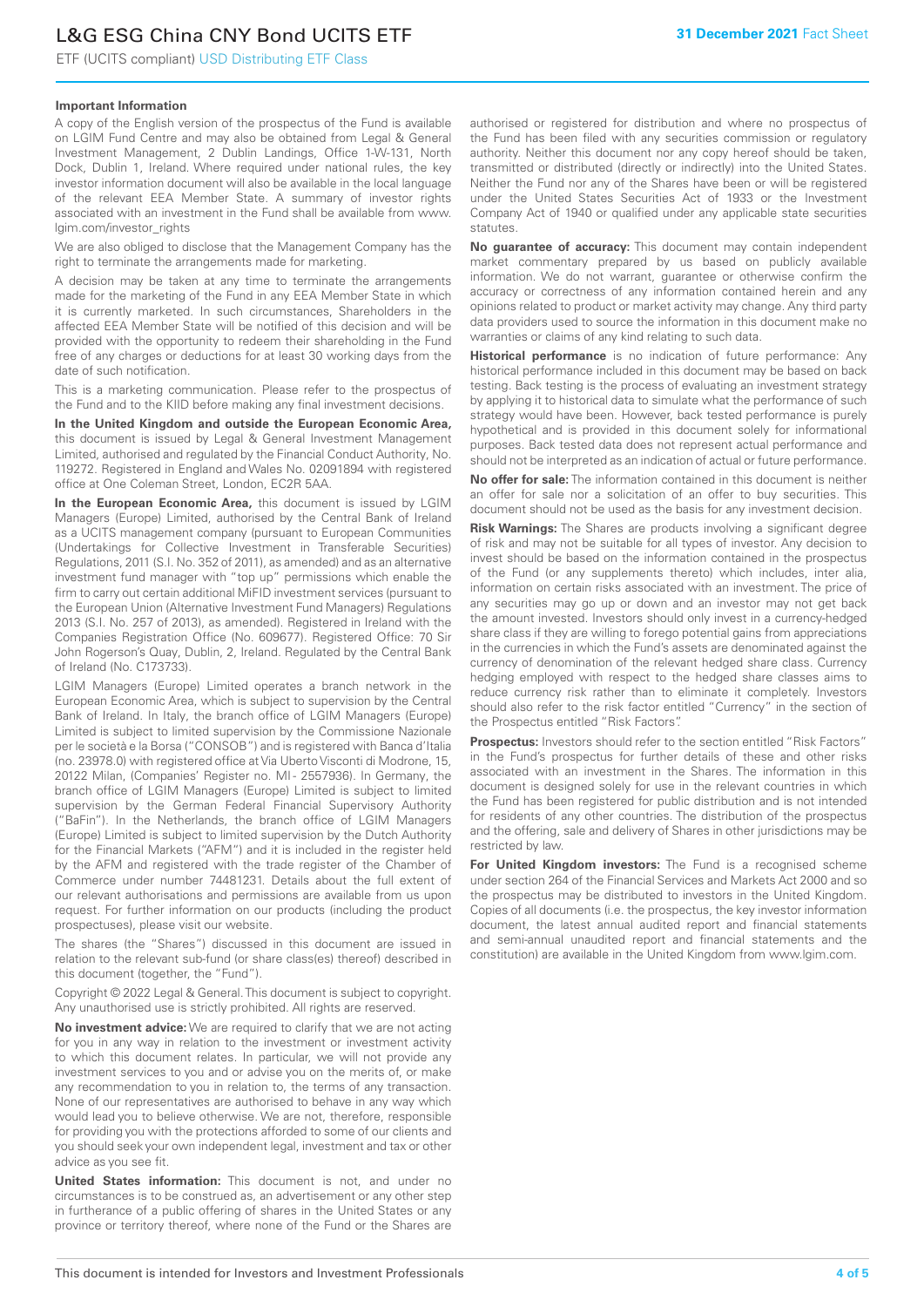# L&G ESG China CNY Bond UCITS ETF

ETF (UCITS compliant) USD Distributing ETF Class

#### **Important Information**

A copy of the English version of the prospectus of the Fund is available on LGIM Fund Centre and may also be obtained from Legal & General Investment Management, 2 Dublin Landings, Office 1-W-131, North Dock, Dublin 1, Ireland. Where required under national rules, the key investor information document will also be available in the local language of the relevant EEA Member State. A summary of investor rights associated with an investment in the Fund shall be available from www. lgim.com/investor\_rights

We are also obliged to disclose that the Management Company has the right to terminate the arrangements made for marketing.

A decision may be taken at any time to terminate the arrangements made for the marketing of the Fund in any EEA Member State in which it is currently marketed. In such circumstances, Shareholders in the affected EEA Member State will be notified of this decision and will be provided with the opportunity to redeem their shareholding in the Fund free of any charges or deductions for at least 30 working days from the date of such notification.

This is a marketing communication. Please refer to the prospectus of the Fund and to the KIID before making any final investment decisions.

**In the United Kingdom and outside the European Economic Area,** this document is issued by Legal & General Investment Management Limited, authorised and regulated by the Financial Conduct Authority, No. 119272. Registered in England and Wales No. 02091894 with registered office at One Coleman Street, London, EC2R 5AA.

**In the European Economic Area,** this document is issued by LGIM Managers (Europe) Limited, authorised by the Central Bank of Ireland as a UCITS management company (pursuant to European Communities (Undertakings for Collective Investment in Transferable Securities) Regulations, 2011 (S.I. No. 352 of 2011), as amended) and as an alternative investment fund manager with "top up" permissions which enable the firm to carry out certain additional MiFID investment services (pursuant to the European Union (Alternative Investment Fund Managers) Regulations 2013 (S.I. No. 257 of 2013), as amended). Registered in Ireland with the Companies Registration Office (No. 609677). Registered Office: 70 Sir John Rogerson's Quay, Dublin, 2, Ireland. Regulated by the Central Bank of Ireland (No. C173733).

LGIM Managers (Europe) Limited operates a branch network in the European Economic Area, which is subject to supervision by the Central Bank of Ireland. In Italy, the branch office of LGIM Managers (Europe) Limited is subject to limited supervision by the Commissione Nazionale per le società e la Borsa ("CONSOB") and is registered with Banca d'Italia (no. 23978.0) with registered office at Via Uberto Visconti di Modrone, 15, 20122 Milan, (Companies' Register no. MI - 2557936). In Germany, the branch office of LGIM Managers (Europe) Limited is subject to limited supervision by the German Federal Financial Supervisory Authority ("BaFin"). In the Netherlands, the branch office of LGIM Managers (Europe) Limited is subject to limited supervision by the Dutch Authority for the Financial Markets ("AFM") and it is included in the register held by the AFM and registered with the trade register of the Chamber of Commerce under number 74481231. Details about the full extent of our relevant authorisations and permissions are available from us upon request. For further information on our products (including the product prospectuses), please visit our website.

The shares (the "Shares") discussed in this document are issued in relation to the relevant sub-fund (or share class(es) thereof) described in this document (together, the "Fund").

Copyright © 2022 Legal & General. This document is subject to copyright. Any unauthorised use is strictly prohibited. All rights are reserved.

**No investment advice:** We are required to clarify that we are not acting for you in any way in relation to the investment or investment activity to which this document relates. In particular, we will not provide any investment services to you and or advise you on the merits of, or make any recommendation to you in relation to, the terms of any transaction. None of our representatives are authorised to behave in any way which would lead you to believe otherwise. We are not, therefore, responsible for providing you with the protections afforded to some of our clients and you should seek your own independent legal, investment and tax or other advice as you see fit.

**United States information:** This document is not, and under no circumstances is to be construed as, an advertisement or any other step in furtherance of a public offering of shares in the United States or any province or territory thereof, where none of the Fund or the Shares are authorised or registered for distribution and where no prospectus of the Fund has been filed with any securities commission or regulatory authority. Neither this document nor any copy hereof should be taken, transmitted or distributed (directly or indirectly) into the United States. Neither the Fund nor any of the Shares have been or will be registered under the United States Securities Act of 1933 or the Investment Company Act of 1940 or qualified under any applicable state securities statutes.

**No guarantee of accuracy:** This document may contain independent market commentary prepared by us based on publicly available information. We do not warrant, guarantee or otherwise confirm the accuracy or correctness of any information contained herein and any opinions related to product or market activity may change. Any third party data providers used to source the information in this document make no warranties or claims of any kind relating to such data.

**Historical performance** is no indication of future performance: Any historical performance included in this document may be based on back testing. Back testing is the process of evaluating an investment strategy by applying it to historical data to simulate what the performance of such strategy would have been. However, back tested performance is purely hypothetical and is provided in this document solely for informational purposes. Back tested data does not represent actual performance and should not be interpreted as an indication of actual or future performance.

**No offer for sale:** The information contained in this document is neither an offer for sale nor a solicitation of an offer to buy securities. This document should not be used as the basis for any investment decision.

**Risk Warnings:** The Shares are products involving a significant degree of risk and may not be suitable for all types of investor. Any decision to invest should be based on the information contained in the prospectus of the Fund (or any supplements thereto) which includes, inter alia, information on certain risks associated with an investment. The price of any securities may go up or down and an investor may not get back the amount invested. Investors should only invest in a currency-hedged share class if they are willing to forego potential gains from appreciations in the currencies in which the Fund's assets are denominated against the currency of denomination of the relevant hedged share class. Currency hedging employed with respect to the hedged share classes aims to reduce currency risk rather than to eliminate it completely. Investors should also refer to the risk factor entitled "Currency" in the section of the Prospectus entitled "Risk Factors".

**Prospectus:** Investors should refer to the section entitled "Risk Factors" in the Fund's prospectus for further details of these and other risks associated with an investment in the Shares. The information in this document is designed solely for use in the relevant countries in which the Fund has been registered for public distribution and is not intended for residents of any other countries. The distribution of the prospectus and the offering, sale and delivery of Shares in other jurisdictions may be restricted by law.

**For United Kingdom investors:** The Fund is a recognised scheme under section 264 of the Financial Services and Markets Act 2000 and so the prospectus may be distributed to investors in the United Kingdom. Copies of all documents (i.e. the prospectus, the key investor information document, the latest annual audited report and financial statements and semi-annual unaudited report and financial statements and the constitution) are available in the United Kingdom from www.lgim.com.